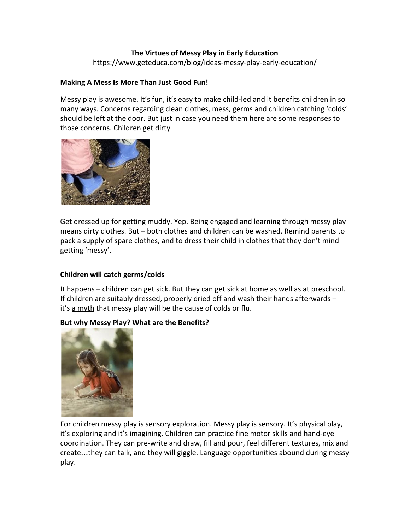## **The Virtues of Messy Play in Early Education**

https://www.geteduca.com/blog/ideas-messy-play-early-education/

#### **Making A Mess Is More Than Just Good Fun!**

Messy play is awesome. It's fun, it's easy to make child-led and it benefits children in so many ways. Concerns regarding clean clothes, mess, germs and children catching 'colds' should be left at the door. But just in case you need them here are some responses to those concerns. Children get dirty



Get dressed up for getting muddy. Yep. Being engaged and learning through messy play means dirty clothes. But – both clothes and children can be washed. Remind parents to pack a supply of spare clothes, and to dress their child in clothes that they don't mind getting 'messy'.

# **Children will catch germs/colds**

It happens – children can get sick. But they can get sick at home as well as at preschool. If children are suitably dressed, properly dried off and wash their hands afterwards – it's [a myth](http://www.babycenter.com/0_top-cold-and-flu-myths-160-8211-and-the-facts-on-keeping-you_1448773.bc) that messy play will be the cause of colds or flu.

#### **But why Messy Play? What are the Benefits?**



For children messy play is sensory exploration. Messy play is sensory. It's physical play, it's exploring and it's imagining. Children can practice fine motor skills and hand-eye coordination. They can pre-write and draw, fill and pour, feel different textures, mix and create…they can talk, and they will giggle. Language opportunities abound during messy play.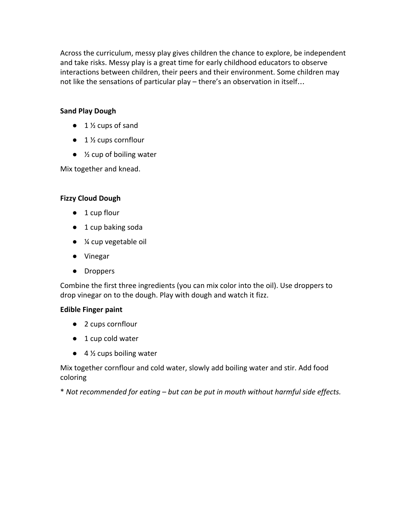[Across the curriculum](http://www.ourhandsonlearning.com/messybenefits.php), messy play gives children the chance to explore, be independent and take risks. Messy play is a great time for early childhood educators to observe interactions between children, their peers and their environment. Some children may not like the sensations of particular play – there's an observation in itself…

## **Sand Play Dough**

- $\bullet$  1  $\frac{1}{2}$  cups of sand
- 1 ½ cups cornflour
- $\bullet$  % cup of boiling water

Mix together and knead.

## **Fizzy Cloud Dough**

- 1 cup flour
- 1 cup baking soda
- ¼ cup vegetable oil
- Vinegar
- Droppers

Combine the first three ingredients (you can mix color into the oil). Use droppers to drop vinegar on to the dough. Play with dough and watch it fizz.

#### **Edible Finger paint**

- 2 cups cornflour
- 1 cup cold water
- $\bullet$  4  $\frac{1}{2}$  cups boiling water

Mix together cornflour and cold water, slowly add boiling water and stir. Add food coloring

\* *Not recommended for eating – but can be put in mouth without harmful side effects.*